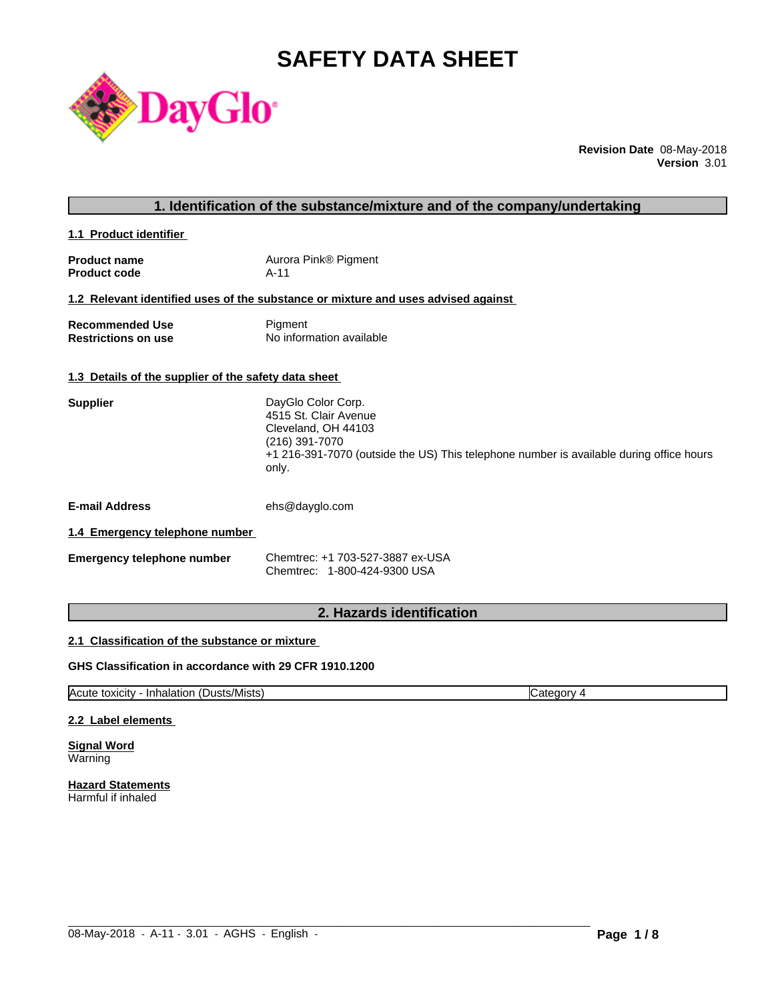# **SAFETY DATA SHEET**



**Revision Date** 08-May-2018 **Version** 3.01

| 1. Identification of the substance/mixture and of the company/undertaking |                                                                                                                                                                                          |  |  |
|---------------------------------------------------------------------------|------------------------------------------------------------------------------------------------------------------------------------------------------------------------------------------|--|--|
| 1.1 Product identifier                                                    |                                                                                                                                                                                          |  |  |
| <b>Product name</b><br><b>Product code</b>                                | Aurora Pink® Pigment<br>$A-11$                                                                                                                                                           |  |  |
|                                                                           | 1.2 Relevant identified uses of the substance or mixture and uses advised against                                                                                                        |  |  |
| <b>Recommended Use</b><br><b>Restrictions on use</b>                      | Pigment<br>No information available                                                                                                                                                      |  |  |
| 1.3 Details of the supplier of the safety data sheet                      |                                                                                                                                                                                          |  |  |
| <b>Supplier</b>                                                           | DayGlo Color Corp.<br>4515 St. Clair Avenue<br>Cleveland, OH 44103<br>(216) 391-7070<br>+1 216-391-7070 (outside the US) This telephone number is available during office hours<br>only. |  |  |
| <b>E-mail Address</b>                                                     | ehs@dayglo.com                                                                                                                                                                           |  |  |
| 1.4 Emergency telephone number                                            |                                                                                                                                                                                          |  |  |
| <b>Emergency telephone number</b>                                         | Chemtrec: +1 703-527-3887 ex-USA<br>Chemtrec: 1-800-424-9300 USA                                                                                                                         |  |  |
|                                                                           |                                                                                                                                                                                          |  |  |

# **2. Hazards identification**

### **2.1 Classification of the substance or mixture**

### **GHS Classification in accordance with 29 CFR 1910.1200**

Acute toxicity - Inhalation (Dusts/Mists) Category 4

 $\_$  ,  $\_$  ,  $\_$  ,  $\_$  ,  $\_$  ,  $\_$  ,  $\_$  ,  $\_$  ,  $\_$  ,  $\_$  ,  $\_$  ,  $\_$  ,  $\_$  ,  $\_$  ,  $\_$  ,  $\_$  ,  $\_$  ,  $\_$  ,  $\_$  ,  $\_$  ,  $\_$  ,  $\_$  ,  $\_$  ,  $\_$  ,  $\_$  ,  $\_$  ,  $\_$  ,  $\_$  ,  $\_$  ,  $\_$  ,  $\_$  ,  $\_$  ,  $\_$  ,  $\_$  ,  $\_$  ,  $\_$  ,  $\_$  ,

#### **2.2 Label elements**

**Signal Word** Warning

**Hazard Statements** Harmful if inhaled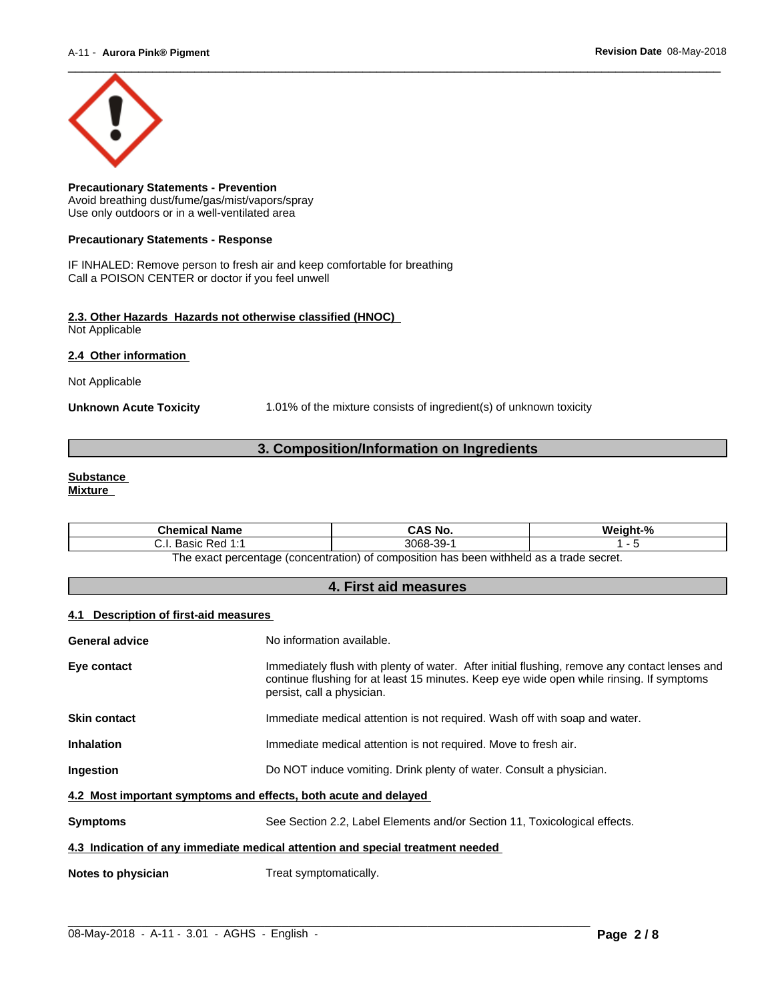

**Precautionary Statements - Prevention** Avoid breathing dust/fume/gas/mist/vapors/spray Use only outdoors or in a well-ventilated area

#### **Precautionary Statements - Response**

IF INHALED: Remove person to fresh air and keep comfortable for breathing Call a POISON CENTER or doctor if you feel unwell

#### **2.3. Other Hazards Hazards not otherwise classified (HNOC)** Not Applicable

**2.4 Other information** 

Not Applicable

**Unknown Acute Toxicity** 1.01% of the mixture consists of ingredient(s) of unknown toxicity

### **3. Composition/Information on Ingredients**

#### **Substance Mixture**

| Chemical<br>l Name                                       | CAS No.                             | Mainht <sub>-</sub> % |
|----------------------------------------------------------|-------------------------------------|-----------------------|
| 4.4<br>: Red<br><b>Doole</b><br>. ۱. ب<br>sasiv<br>.     | -30-<br>3068-<br>ັບ                 |                       |
| : nercentage (concentration) of composition<br>∣h≙ ≙¥a∩t | tannes ahert e ze hladdiw naad sa t |                       |

The exact percentage (concentration) of composition has been withheld as a trade secret.

## **4. First aid measures**

#### **4.1 Description of first-aid measures**

| General advice                                                                 | No information available.                                                                                                                                                                                               |  |  |
|--------------------------------------------------------------------------------|-------------------------------------------------------------------------------------------------------------------------------------------------------------------------------------------------------------------------|--|--|
| Eye contact                                                                    | Immediately flush with plenty of water. After initial flushing, remove any contact lenses and<br>continue flushing for at least 15 minutes. Keep eye wide open while rinsing. If symptoms<br>persist, call a physician. |  |  |
| <b>Skin contact</b>                                                            | Immediate medical attention is not required. Wash off with soap and water.                                                                                                                                              |  |  |
| <b>Inhalation</b>                                                              | Immediate medical attention is not required. Move to fresh air.                                                                                                                                                         |  |  |
| Ingestion                                                                      | Do NOT induce vomiting. Drink plenty of water. Consult a physician.                                                                                                                                                     |  |  |
| 4.2 Most important symptoms and effects, both acute and delayed                |                                                                                                                                                                                                                         |  |  |
| <b>Symptoms</b>                                                                | See Section 2.2, Label Elements and/or Section 11, Toxicological effects.                                                                                                                                               |  |  |
| 4.3 Indication of any immediate medical attention and special treatment needed |                                                                                                                                                                                                                         |  |  |
| Notes to physician                                                             | Treat symptomatically.                                                                                                                                                                                                  |  |  |

 $\_$  ,  $\_$  ,  $\_$  ,  $\_$  ,  $\_$  ,  $\_$  ,  $\_$  ,  $\_$  ,  $\_$  ,  $\_$  ,  $\_$  ,  $\_$  ,  $\_$  ,  $\_$  ,  $\_$  ,  $\_$  ,  $\_$  ,  $\_$  ,  $\_$  ,  $\_$  ,  $\_$  ,  $\_$  ,  $\_$  ,  $\_$  ,  $\_$  ,  $\_$  ,  $\_$  ,  $\_$  ,  $\_$  ,  $\_$  ,  $\_$  ,  $\_$  ,  $\_$  ,  $\_$  ,  $\_$  ,  $\_$  ,  $\_$  ,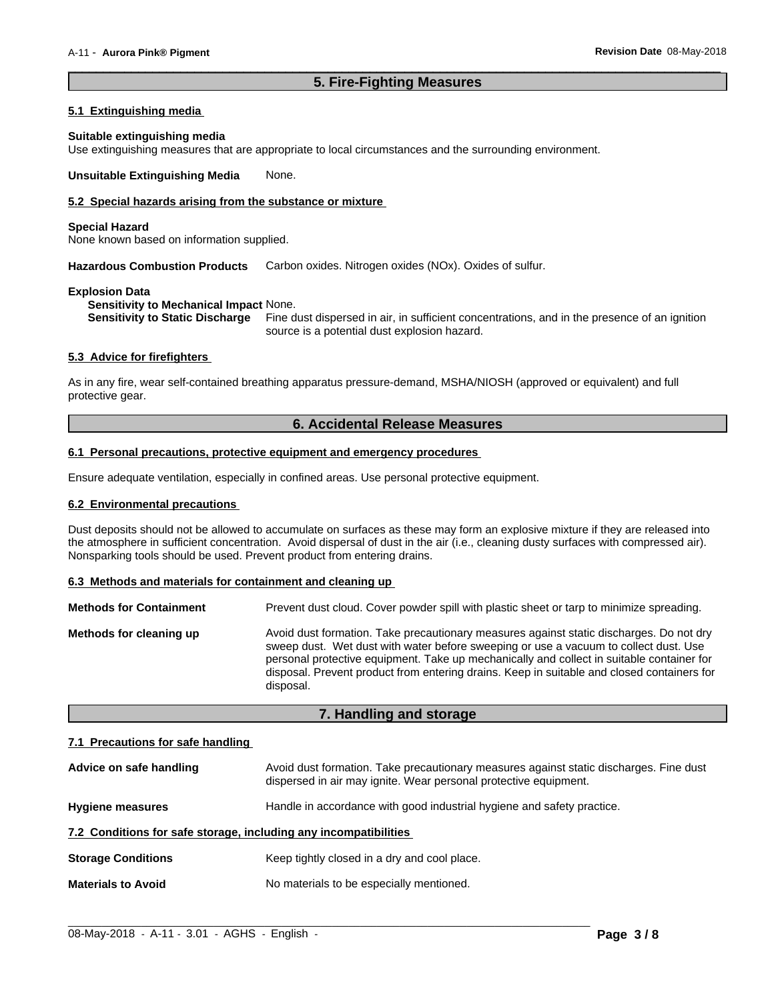### **5. Fire-Fighting Measures**

 $\overline{\phantom{a}}$  ,  $\overline{\phantom{a}}$  ,  $\overline{\phantom{a}}$  ,  $\overline{\phantom{a}}$  ,  $\overline{\phantom{a}}$  ,  $\overline{\phantom{a}}$  ,  $\overline{\phantom{a}}$  ,  $\overline{\phantom{a}}$  ,  $\overline{\phantom{a}}$  ,  $\overline{\phantom{a}}$  ,  $\overline{\phantom{a}}$  ,  $\overline{\phantom{a}}$  ,  $\overline{\phantom{a}}$  ,  $\overline{\phantom{a}}$  ,  $\overline{\phantom{a}}$  ,  $\overline{\phantom{a}}$ 

#### **5.1 Extinguishing media**

#### **Suitable extinguishing media**

Use extinguishing measures that are appropriate to local circumstances and the surrounding environment.

**Unsuitable Extinguishing Media** None.

### **5.2 Special hazards arising from the substance or mixture**

#### **Special Hazard**

None known based on information supplied.

**Hazardous Combustion Products** Carbon oxides. Nitrogen oxides (NOx). Oxides of sulfur.

#### **Explosion Data**

**Sensitivity to Mechanical Impact** None.

**Sensitivity to Static Discharge** Fine dust dispersed in air, in sufficient concentrations, and in the presence of an ignition source is a potential dust explosion hazard.

#### **5.3 Advice for firefighters**

As in any fire, wear self-contained breathing apparatus pressure-demand, MSHA/NIOSH (approved or equivalent) and full protective gear.

### **6. Accidental Release Measures**

#### **6.1 Personal precautions, protective equipment and emergency procedures**

Ensure adequate ventilation, especially in confined areas. Use personal protective equipment.

#### **6.2 Environmental precautions**

Dust deposits should not be allowed to accumulate on surfaces as these may form an explosive mixture if they are released into the atmosphere in sufficient concentration. Avoid dispersal of dust in the air (i.e., cleaning dusty surfaces with compressed air). Nonsparking tools should be used. Prevent product from entering drains.

#### **6.3 Methods and materials for containment and cleaning up**

| <b>Methods for Containment</b> | Prevent dust cloud. Cover powder spill with plastic sheet or tarp to minimize spreading.                                                                                                                                                                                                                                                                                                |
|--------------------------------|-----------------------------------------------------------------------------------------------------------------------------------------------------------------------------------------------------------------------------------------------------------------------------------------------------------------------------------------------------------------------------------------|
| Methods for cleaning up        | Avoid dust formation. Take precautionary measures against static discharges. Do not dry<br>sweep dust. Wet dust with water before sweeping or use a vacuum to collect dust. Use<br>personal protective equipment. Take up mechanically and collect in suitable container for<br>disposal. Prevent product from entering drains. Keep in suitable and closed containers for<br>disposal. |

### **7. Handling and storage**

#### **7.1 Precautions for safe handling**

| Advice on safe handling                                          | Avoid dust formation. Take precautionary measures against static discharges. Fine dust<br>dispersed in air may ignite. Wear personal protective equipment. |  |
|------------------------------------------------------------------|------------------------------------------------------------------------------------------------------------------------------------------------------------|--|
| <b>Hygiene measures</b>                                          | Handle in accordance with good industrial hygiene and safety practice.                                                                                     |  |
| 7.2 Conditions for safe storage, including any incompatibilities |                                                                                                                                                            |  |
| <b>Storage Conditions</b>                                        | Keep tightly closed in a dry and cool place.                                                                                                               |  |
| <b>Materials to Avoid</b>                                        | No materials to be especially mentioned.                                                                                                                   |  |

 $\_$  ,  $\_$  ,  $\_$  ,  $\_$  ,  $\_$  ,  $\_$  ,  $\_$  ,  $\_$  ,  $\_$  ,  $\_$  ,  $\_$  ,  $\_$  ,  $\_$  ,  $\_$  ,  $\_$  ,  $\_$  ,  $\_$  ,  $\_$  ,  $\_$  ,  $\_$  ,  $\_$  ,  $\_$  ,  $\_$  ,  $\_$  ,  $\_$  ,  $\_$  ,  $\_$  ,  $\_$  ,  $\_$  ,  $\_$  ,  $\_$  ,  $\_$  ,  $\_$  ,  $\_$  ,  $\_$  ,  $\_$  ,  $\_$  ,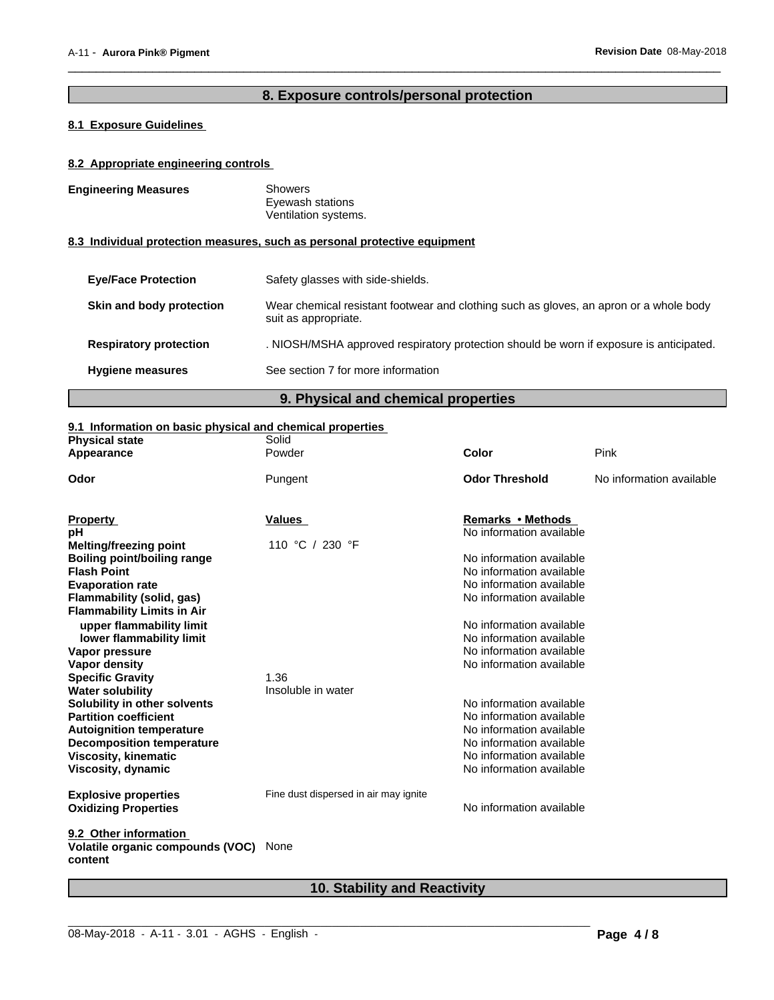# **8. Exposure controls/personal protection**

 $\overline{\phantom{a}}$  ,  $\overline{\phantom{a}}$  ,  $\overline{\phantom{a}}$  ,  $\overline{\phantom{a}}$  ,  $\overline{\phantom{a}}$  ,  $\overline{\phantom{a}}$  ,  $\overline{\phantom{a}}$  ,  $\overline{\phantom{a}}$  ,  $\overline{\phantom{a}}$  ,  $\overline{\phantom{a}}$  ,  $\overline{\phantom{a}}$  ,  $\overline{\phantom{a}}$  ,  $\overline{\phantom{a}}$  ,  $\overline{\phantom{a}}$  ,  $\overline{\phantom{a}}$  ,  $\overline{\phantom{a}}$ 

### **8.1 Exposure Guidelines**

### **8.2 Appropriate engineering controls**

| <b>Engineering Measures</b>   | <b>Showers</b><br>Eyewash stations                                                                             |
|-------------------------------|----------------------------------------------------------------------------------------------------------------|
|                               | Ventilation systems.                                                                                           |
|                               | 8.3 Individual protection measures, such as personal protective equipment                                      |
| <b>Eve/Face Protection</b>    | Safety glasses with side-shields.                                                                              |
| Skin and body protection      | Wear chemical resistant footwear and clothing such as gloves, an apron or a whole body<br>suit as appropriate. |
| <b>Respiratory protection</b> | . NIOSH/MSHA approved respiratory protection should be worn if exposure is anticipated.                        |
| <b>Hygiene measures</b>       | See section 7 for more information                                                                             |
|                               |                                                                                                                |

# **9. Physical and chemical properties**

### **9.1 Information on basic physical and chemical properties**

| <b>Physical state</b>                            | Solid                                 |                          |                          |
|--------------------------------------------------|---------------------------------------|--------------------------|--------------------------|
| Appearance                                       | Powder                                | Color                    | Pink                     |
| Odor                                             | Pungent                               | <b>Odor Threshold</b>    | No information available |
|                                                  |                                       |                          |                          |
| <b>Property</b>                                  | Values                                | Remarks • Methods        |                          |
| рH                                               |                                       | No information available |                          |
| Melting/freezing point                           | 110 °C / 230 °F                       |                          |                          |
| Boiling point/boiling range                      |                                       | No information available |                          |
| <b>Flash Point</b>                               |                                       | No information available |                          |
| <b>Evaporation rate</b>                          |                                       | No information available |                          |
| Flammability (solid, gas)                        |                                       | No information available |                          |
| <b>Flammability Limits in Air</b>                |                                       |                          |                          |
| upper flammability limit                         |                                       | No information available |                          |
| lower flammability limit                         |                                       | No information available |                          |
| Vapor pressure                                   |                                       | No information available |                          |
| <b>Vapor density</b>                             |                                       | No information available |                          |
| <b>Specific Gravity</b>                          | 1.36                                  |                          |                          |
| <b>Water solubility</b>                          | Insoluble in water                    |                          |                          |
| Solubility in other solvents                     |                                       | No information available |                          |
| <b>Partition coefficient</b>                     |                                       | No information available |                          |
| <b>Autoignition temperature</b>                  |                                       | No information available |                          |
| <b>Decomposition temperature</b>                 |                                       | No information available |                          |
| <b>Viscosity, kinematic</b>                      |                                       | No information available |                          |
| <b>Viscosity, dynamic</b>                        |                                       | No information available |                          |
| <b>Explosive properties</b>                      | Fine dust dispersed in air may ignite |                          |                          |
| <b>Oxidizing Properties</b>                      |                                       | No information available |                          |
| 9.2 Other information                            |                                       |                          |                          |
| Volatile organic compounds (VOC) None<br>content |                                       |                          |                          |

# **10. Stability and Reactivity**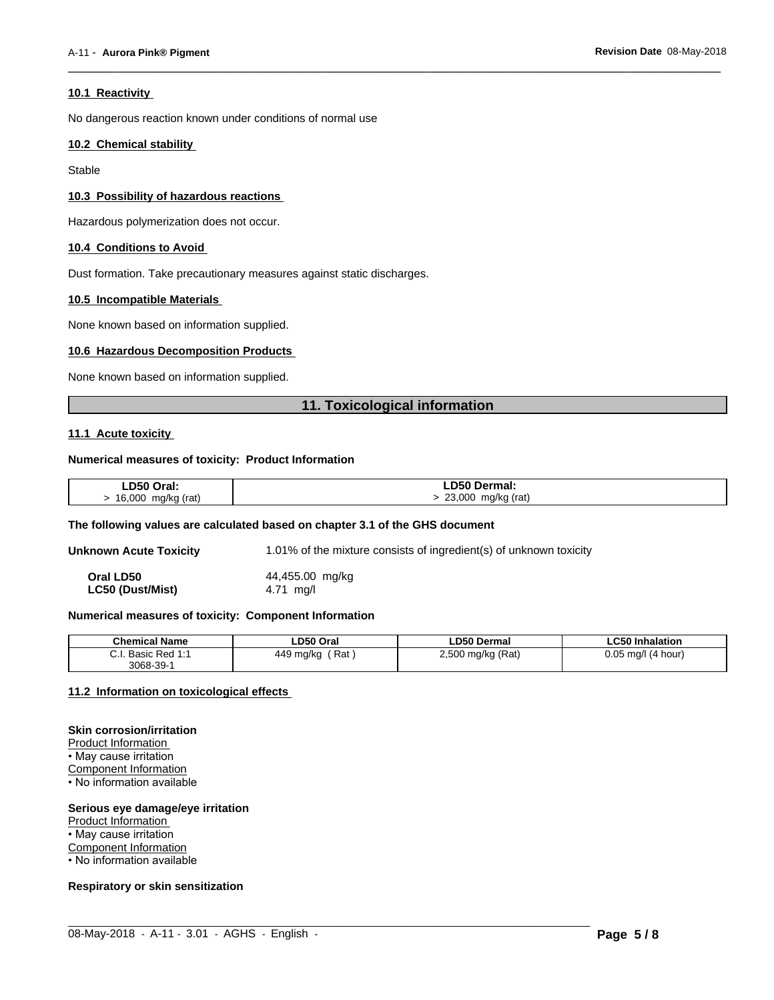#### **10.1 Reactivity**

No dangerous reaction known under conditions of normal use

#### **10.2 Chemical stability**

Stable

#### **10.3 Possibility of hazardous reactions**

Hazardous polymerization does not occur.

#### **10.4 Conditions to Avoid**

Dust formation. Take precautionary measures against static discharges.

#### **10.5 Incompatible Materials**

None known based on information supplied.

#### **10.6 Hazardous Decomposition Products**

None known based on information supplied.

### **11. Toxicological information**

 $\overline{\phantom{a}}$  ,  $\overline{\phantom{a}}$  ,  $\overline{\phantom{a}}$  ,  $\overline{\phantom{a}}$  ,  $\overline{\phantom{a}}$  ,  $\overline{\phantom{a}}$  ,  $\overline{\phantom{a}}$  ,  $\overline{\phantom{a}}$  ,  $\overline{\phantom{a}}$  ,  $\overline{\phantom{a}}$  ,  $\overline{\phantom{a}}$  ,  $\overline{\phantom{a}}$  ,  $\overline{\phantom{a}}$  ,  $\overline{\phantom{a}}$  ,  $\overline{\phantom{a}}$  ,  $\overline{\phantom{a}}$ 

#### **11.1 Acute toxicity**

#### **Numerical measures of toxicity: Product Information**

| LD50 Oral:         | <b>LD50 Dermal:</b>        |
|--------------------|----------------------------|
| 16,000 mg/kg (rat) | $\cdot$ 23,000 mg/kg (rat) |

#### **The following values are calculated based on chapter 3.1 of the GHS document**

**Unknown Acute Toxicity** 1.01% of the mixture consists of ingredient(s) of unknown toxicity

| Oral LD50        | 44,455.00 mg/kg |  |
|------------------|-----------------|--|
| LC50 (Dust/Mist) | 4.71 $mq/l$     |  |

#### **Numerical measures of toxicity: Component Information**

| <b>Chemical Name</b>                             | LD50 Oral                                | <b>LD50 Dermal</b>                          | $C_{E}$ $\sim$ $\sim$<br><b>Inhalation</b><br>ъ. |
|--------------------------------------------------|------------------------------------------|---------------------------------------------|--------------------------------------------------|
| <u>.</u><br>Red<br><b>UCOUC</b><br>.<br>3068-39- | Rat<br>44 O<br>) ma/ka<br>τ∪<br>.<br>. . | mq/kg (Rat)<br>2.500<br>$\mathbf{r}$<br>. . | 0.05<br>ma/l<br>(4 hour)                         |

 $\_$  ,  $\_$  ,  $\_$  ,  $\_$  ,  $\_$  ,  $\_$  ,  $\_$  ,  $\_$  ,  $\_$  ,  $\_$  ,  $\_$  ,  $\_$  ,  $\_$  ,  $\_$  ,  $\_$  ,  $\_$  ,  $\_$  ,  $\_$  ,  $\_$  ,  $\_$  ,  $\_$  ,  $\_$  ,  $\_$  ,  $\_$  ,  $\_$  ,  $\_$  ,  $\_$  ,  $\_$  ,  $\_$  ,  $\_$  ,  $\_$  ,  $\_$  ,  $\_$  ,  $\_$  ,  $\_$  ,  $\_$  ,  $\_$  ,

### **11.2 Information on toxicologicaleffects**

#### **Skin corrosion/irritation**

Product Information

• May cause irritation

Component Information

• No information available

#### **Serious eye damage/eye irritation**

Product Information

• May cause irritation

**Component Information** 

• No information available

#### **Respiratory or skin sensitization**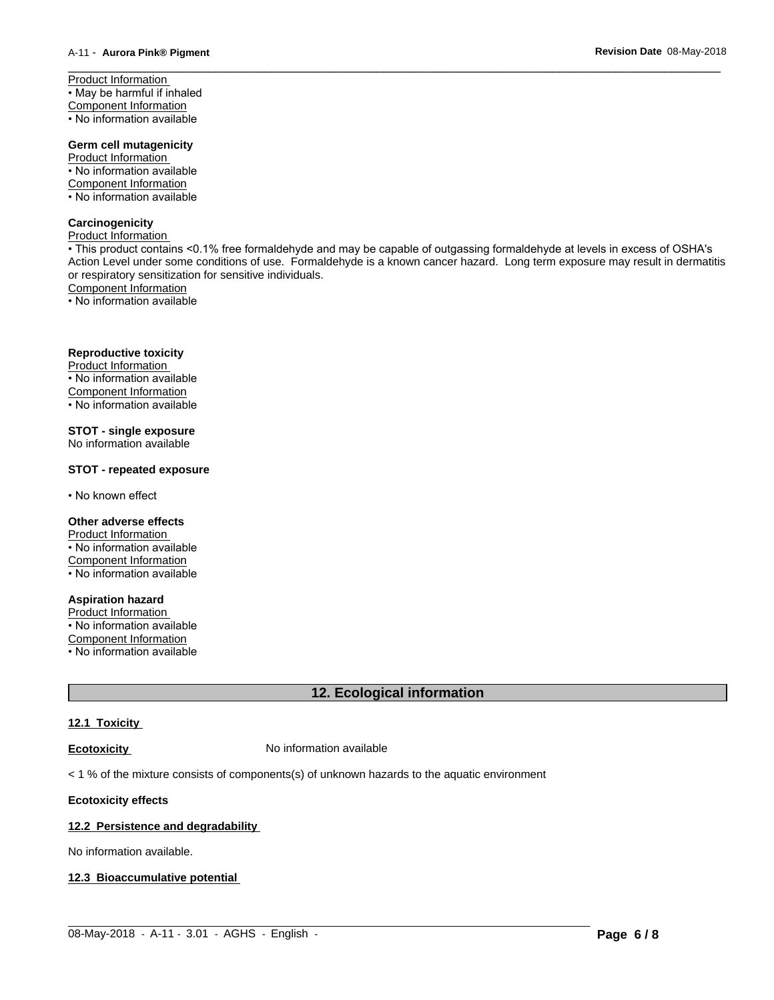Product Information • May be harmful if inhaled Component Information • No information available

### **Germ cell mutagenicity**

Product Information • No information available Component Information

• No information available

### **Carcinogenicity**

Product Information

• This product contains <0.1% free formaldehyde and may be capable of outgassing formaldehyde at levels in excess of OSHA's Action Level under some conditions of use. Formaldehyde is a known cancer hazard. Long term exposure may result in dermatitis or respiratory sensitization for sensitive individuals.<br>Component Information

 $\overline{\phantom{a}}$  ,  $\overline{\phantom{a}}$  ,  $\overline{\phantom{a}}$  ,  $\overline{\phantom{a}}$  ,  $\overline{\phantom{a}}$  ,  $\overline{\phantom{a}}$  ,  $\overline{\phantom{a}}$  ,  $\overline{\phantom{a}}$  ,  $\overline{\phantom{a}}$  ,  $\overline{\phantom{a}}$  ,  $\overline{\phantom{a}}$  ,  $\overline{\phantom{a}}$  ,  $\overline{\phantom{a}}$  ,  $\overline{\phantom{a}}$  ,  $\overline{\phantom{a}}$  ,  $\overline{\phantom{a}}$ 

• No information available

### **Reproductive toxicity**

Product Information • No information available Component Information • No information available

**STOT - single exposure**

No information available

### **STOT - repeated exposure**

• No known effect

### **Other adverse effects**

Product Information • No information available Component Information • No information available

**Aspiration hazard**

Product Information • No information available Component Information

• No information available

# **12. Ecological information**

### **12.1 Toxicity**

**Ecotoxicity No information available** 

 $<$  1 % of the mixture consists of components(s) of unknown hazards to the aquatic environment

### **Ecotoxicity effects**

### **12.2 Persistence and degradability**

No information available.

#### **12.3 Bioaccumulative potential**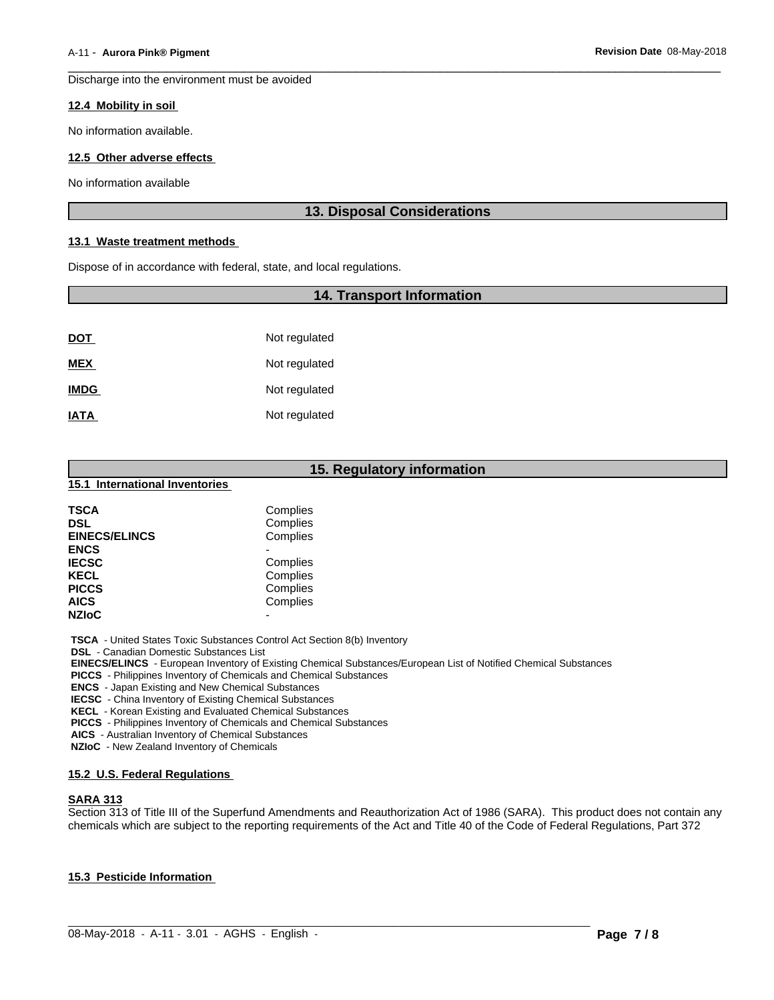Discharge into the environment must be avoided

#### **12.4 Mobility in soil**

No information available.

#### **12.5 Other adverse effects**

No information available

### **13. Disposal Considerations**

 $\overline{\phantom{a}}$  ,  $\overline{\phantom{a}}$  ,  $\overline{\phantom{a}}$  ,  $\overline{\phantom{a}}$  ,  $\overline{\phantom{a}}$  ,  $\overline{\phantom{a}}$  ,  $\overline{\phantom{a}}$  ,  $\overline{\phantom{a}}$  ,  $\overline{\phantom{a}}$  ,  $\overline{\phantom{a}}$  ,  $\overline{\phantom{a}}$  ,  $\overline{\phantom{a}}$  ,  $\overline{\phantom{a}}$  ,  $\overline{\phantom{a}}$  ,  $\overline{\phantom{a}}$  ,  $\overline{\phantom{a}}$ 

#### **13.1 Waste treatment methods**

Dispose of in accordance with federal, state, and local regulations.

### **14. Transport Information**

| <b>DOT</b>  | Not regulated |
|-------------|---------------|
| <b>MEX</b>  | Not regulated |
| <b>IMDG</b> | Not regulated |
| <b>IATA</b> | Not regulated |

# **15. Regulatory information**

### **15.1 International Inventories**

| <b>TSCA</b><br><b>DSL</b><br><b>EINECS/ELINCS</b> | Complies<br>Complies<br>Complies |  |
|---------------------------------------------------|----------------------------------|--|
| <b>ENCS</b>                                       |                                  |  |
| <b>IECSC</b>                                      | Complies                         |  |
| <b>KECL</b>                                       | Complies                         |  |
| <b>PICCS</b>                                      | Complies                         |  |
| <b>AICS</b>                                       | Complies                         |  |
| <b>NZIoC</b>                                      | -                                |  |

 **TSCA** - United States Toxic Substances Control Act Section 8(b) Inventory

 **DSL** - Canadian Domestic Substances List

 **EINECS/ELINCS** - European Inventory of Existing Chemical Substances/European List of Notified Chemical Substances

 **PICCS** - Philippines Inventory of Chemicals and Chemical Substances

 **ENCS** - Japan Existing and New Chemical Substances

 **IECSC** - China Inventory of Existing Chemical Substances

 **KECL** - Korean Existing and Evaluated Chemical Substances

 **PICCS** - Philippines Inventory of Chemicals and Chemical Substances

 **AICS** - Australian Inventory of Chemical Substances

 **NZIoC** - New Zealand Inventory of Chemicals

#### **15.2 U.S. Federal Regulations**

### **SARA 313**

Section 313 of Title III of the Superfund Amendments and Reauthorization Act of 1986 (SARA). This product does not contain any chemicals which are subject to the reporting requirements of the Act and Title 40 of the Code of Federal Regulations, Part 372

 $\_$  ,  $\_$  ,  $\_$  ,  $\_$  ,  $\_$  ,  $\_$  ,  $\_$  ,  $\_$  ,  $\_$  ,  $\_$  ,  $\_$  ,  $\_$  ,  $\_$  ,  $\_$  ,  $\_$  ,  $\_$  ,  $\_$  ,  $\_$  ,  $\_$  ,  $\_$  ,  $\_$  ,  $\_$  ,  $\_$  ,  $\_$  ,  $\_$  ,  $\_$  ,  $\_$  ,  $\_$  ,  $\_$  ,  $\_$  ,  $\_$  ,  $\_$  ,  $\_$  ,  $\_$  ,  $\_$  ,  $\_$  ,  $\_$  ,

#### **15.3 Pesticide Information**